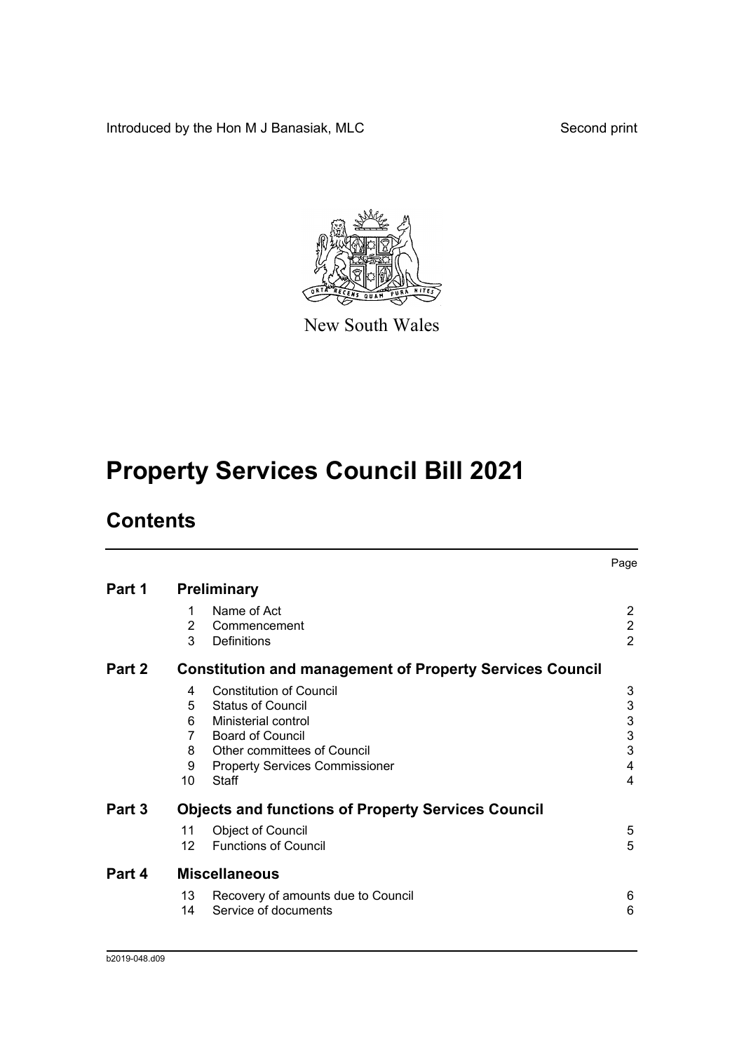Introduced by the Hon M J Banasiak, MLC Second print



New South Wales

# **Property Services Council Bill 2021**

# **Contents**

|        |                    |                                                                 | Page           |  |  |
|--------|--------------------|-----------------------------------------------------------------|----------------|--|--|
| Part 1 | <b>Preliminary</b> |                                                                 |                |  |  |
|        | 1                  | Name of Act                                                     | 2              |  |  |
|        | 2                  | Commencement                                                    | $\overline{2}$ |  |  |
|        | 3                  | Definitions                                                     | $\overline{2}$ |  |  |
| Part 2 |                    | <b>Constitution and management of Property Services Council</b> |                |  |  |
|        | 4                  | <b>Constitution of Council</b>                                  | 3              |  |  |
|        | 5                  | <b>Status of Council</b>                                        | $\mathbf{3}$   |  |  |
|        | 6                  | Ministerial control                                             | $\mathsf 3$    |  |  |
|        | 7                  | <b>Board of Council</b>                                         | $\mathbf{3}$   |  |  |
|        | 8                  | Other committees of Council                                     | 3              |  |  |
|        | 9                  | <b>Property Services Commissioner</b>                           | 4              |  |  |
|        | 10                 | <b>Staff</b>                                                    | 4              |  |  |
| Part 3 |                    | <b>Objects and functions of Property Services Council</b>       |                |  |  |
|        | 11                 | <b>Object of Council</b>                                        | 5              |  |  |
|        | 12 <sup>2</sup>    | <b>Functions of Council</b>                                     | 5              |  |  |
| Part 4 |                    | <b>Miscellaneous</b>                                            |                |  |  |
|        | 13                 | Recovery of amounts due to Council                              | 6              |  |  |
|        | 14                 | Service of documents                                            | 6              |  |  |
|        |                    |                                                                 |                |  |  |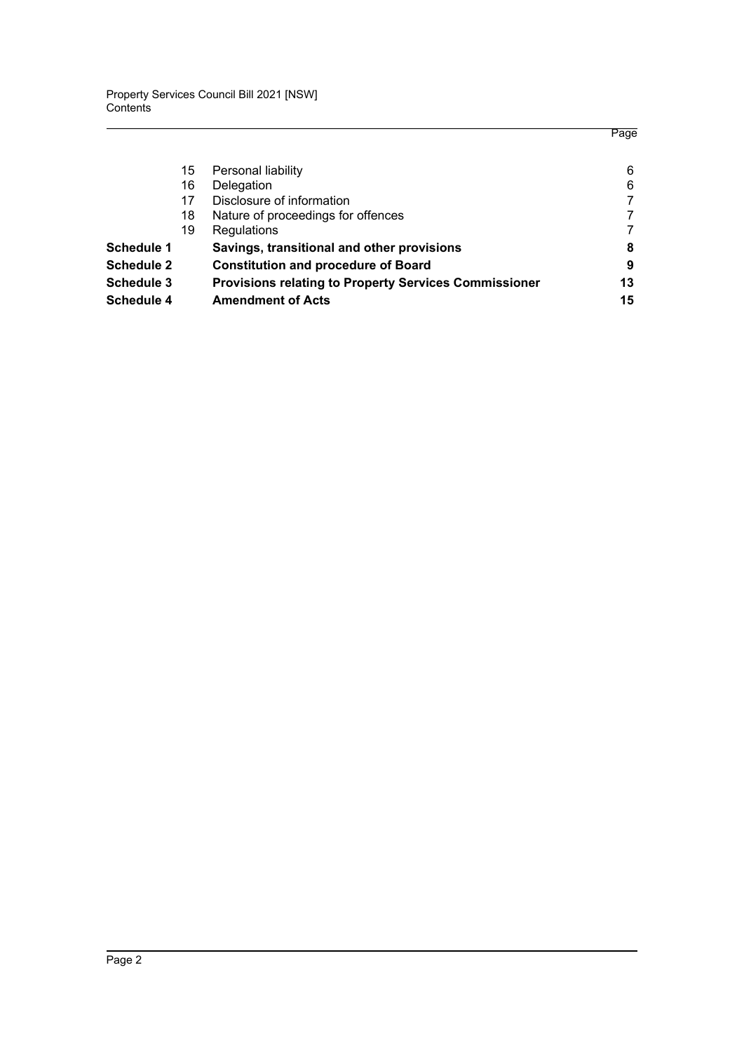|                   |    |                                                              | Page |
|-------------------|----|--------------------------------------------------------------|------|
|                   | 15 | Personal liability                                           | 6    |
|                   | 16 | Delegation                                                   | 6    |
|                   | 17 | Disclosure of information                                    |      |
|                   | 18 | Nature of proceedings for offences                           |      |
|                   | 19 | Regulations                                                  |      |
| <b>Schedule 1</b> |    | Savings, transitional and other provisions                   | 8    |
| <b>Schedule 2</b> |    | <b>Constitution and procedure of Board</b>                   | 9    |
| <b>Schedule 3</b> |    | <b>Provisions relating to Property Services Commissioner</b> | 13   |
| Schedule 4        |    | <b>Amendment of Acts</b>                                     | 15   |
|                   |    |                                                              |      |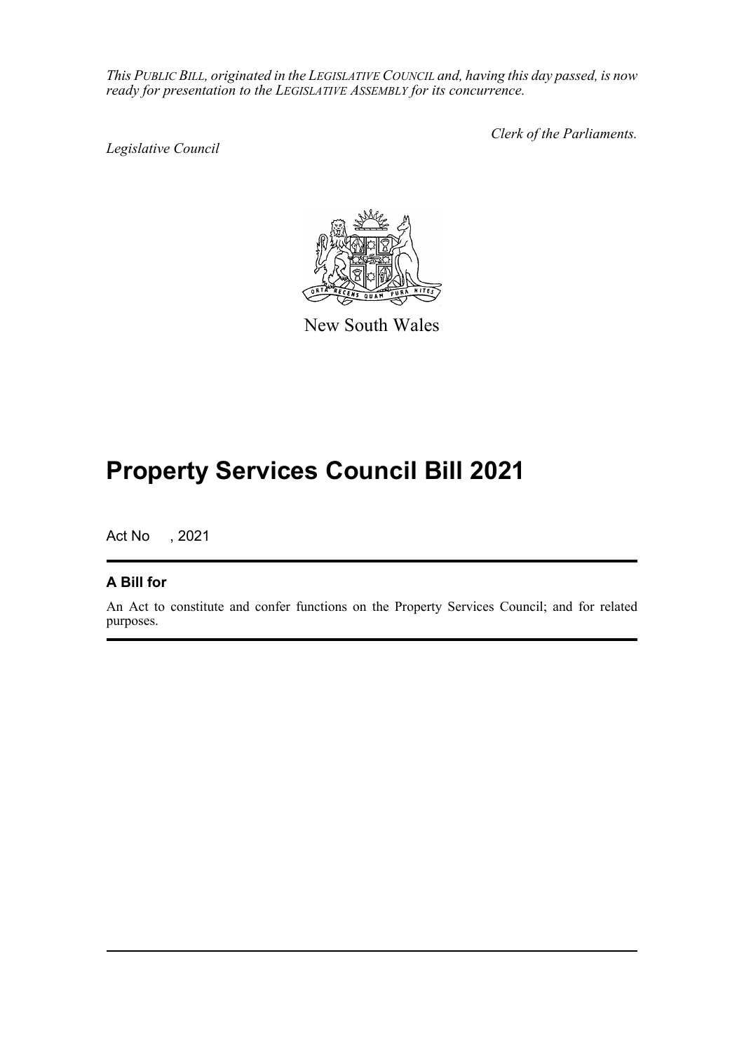*This PUBLIC BILL, originated in the LEGISLATIVE COUNCIL and, having this day passed, is now ready for presentation to the LEGISLATIVE ASSEMBLY for its concurrence.*

*Legislative Council*

*Clerk of the Parliaments.*



New South Wales

# **Property Services Council Bill 2021**

Act No , 2021

### **A Bill for**

An Act to constitute and confer functions on the Property Services Council; and for related purposes.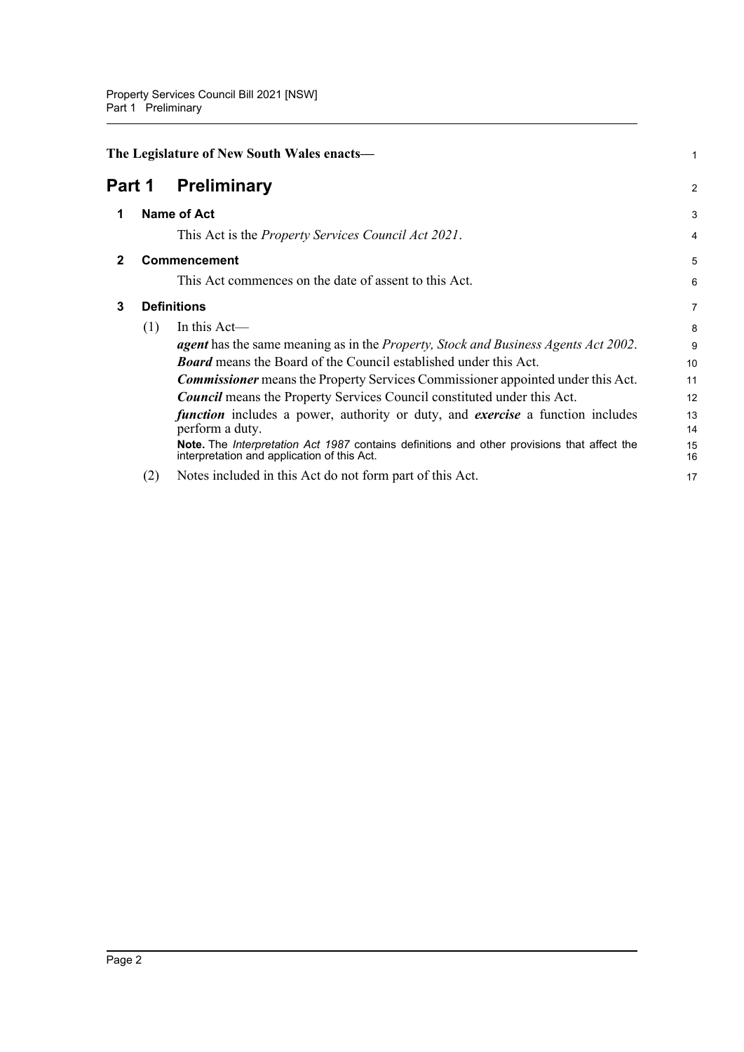<span id="page-3-3"></span><span id="page-3-2"></span><span id="page-3-1"></span><span id="page-3-0"></span>

|                              | The Legislature of New South Wales enacts- |                                                                                                                                            |                |  |
|------------------------------|--------------------------------------------|--------------------------------------------------------------------------------------------------------------------------------------------|----------------|--|
| <b>Preliminary</b><br>Part 1 |                                            |                                                                                                                                            | $\overline{a}$ |  |
| 1                            | <b>Name of Act</b>                         |                                                                                                                                            | 3              |  |
|                              |                                            | This Act is the <i>Property Services Council Act 2021</i> .                                                                                | 4              |  |
| $\mathbf{2}$                 |                                            | <b>Commencement</b>                                                                                                                        | 5              |  |
|                              |                                            | This Act commences on the date of assent to this Act.                                                                                      | 6              |  |
| 3                            | <b>Definitions</b>                         |                                                                                                                                            | 7              |  |
|                              | (1)                                        | In this $Act$ —                                                                                                                            | 8              |  |
|                              |                                            | <b>agent</b> has the same meaning as in the <i>Property</i> , <i>Stock and Business Agents Act 2002</i> .                                  | 9              |  |
|                              |                                            | <b>Board</b> means the Board of the Council established under this Act.                                                                    | 10             |  |
|                              |                                            | <b>Commissioner</b> means the Property Services Commissioner appointed under this Act.                                                     | 11             |  |
|                              |                                            | <b>Council</b> means the Property Services Council constituted under this Act.                                                             | 12             |  |
|                              |                                            | <i>function</i> includes a power, authority or duty, and <i>exercise</i> a function includes<br>perform a duty.                            | 13<br>14       |  |
|                              |                                            | Note. The Interpretation Act 1987 contains definitions and other provisions that affect the<br>interpretation and application of this Act. | 15<br>16       |  |
|                              | (2)                                        | Notes included in this Act do not form part of this Act.                                                                                   | 17             |  |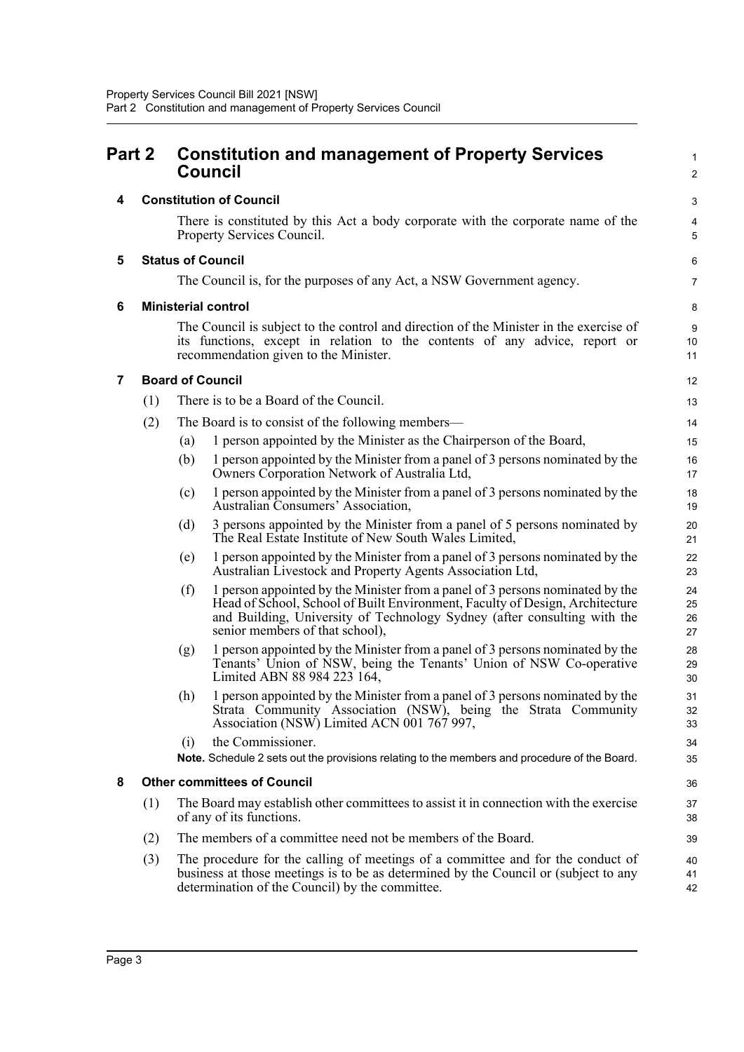<span id="page-4-5"></span><span id="page-4-4"></span><span id="page-4-3"></span><span id="page-4-2"></span><span id="page-4-1"></span><span id="page-4-0"></span>

| Part 2 |     | <b>Constitution and management of Property Services</b><br><b>Council</b>                                                                                                                                                                                                           |                      |  |  |
|--------|-----|-------------------------------------------------------------------------------------------------------------------------------------------------------------------------------------------------------------------------------------------------------------------------------------|----------------------|--|--|
| 4      |     | <b>Constitution of Council</b>                                                                                                                                                                                                                                                      |                      |  |  |
|        |     | There is constituted by this Act a body corporate with the corporate name of the<br>Property Services Council.                                                                                                                                                                      | 4<br>5               |  |  |
| 5      |     | <b>Status of Council</b>                                                                                                                                                                                                                                                            | 6                    |  |  |
|        |     | The Council is, for the purposes of any Act, a NSW Government agency.                                                                                                                                                                                                               | $\overline{7}$       |  |  |
| 6      |     | <b>Ministerial control</b>                                                                                                                                                                                                                                                          | 8                    |  |  |
|        |     | The Council is subject to the control and direction of the Minister in the exercise of<br>its functions, except in relation to the contents of any advice, report or<br>recommendation given to the Minister.                                                                       | 9<br>10<br>11        |  |  |
| 7      |     | <b>Board of Council</b>                                                                                                                                                                                                                                                             | 12                   |  |  |
|        | (1) | There is to be a Board of the Council.                                                                                                                                                                                                                                              | 13                   |  |  |
|        | (2) | The Board is to consist of the following members-                                                                                                                                                                                                                                   | 14                   |  |  |
|        |     | 1 person appointed by the Minister as the Chairperson of the Board,<br>(a)                                                                                                                                                                                                          | 15                   |  |  |
|        |     | (b)<br>1 person appointed by the Minister from a panel of 3 persons nominated by the<br>Owners Corporation Network of Australia Ltd,                                                                                                                                                | 16<br>17             |  |  |
|        |     | 1 person appointed by the Minister from a panel of 3 persons nominated by the<br>(c)<br>Australian Consumers' Association,                                                                                                                                                          | 18<br>19             |  |  |
|        |     | (d)<br>3 persons appointed by the Minister from a panel of 5 persons nominated by<br>The Real Estate Institute of New South Wales Limited,                                                                                                                                          | 20<br>21             |  |  |
|        |     | 1 person appointed by the Minister from a panel of 3 persons nominated by the<br>(e)<br>Australian Livestock and Property Agents Association Ltd,                                                                                                                                   | 22<br>23             |  |  |
|        |     | 1 person appointed by the Minister from a panel of 3 persons nominated by the<br>(f)<br>Head of School, School of Built Environment, Faculty of Design, Architecture<br>and Building, University of Technology Sydney (after consulting with the<br>senior members of that school), | 24<br>25<br>26<br>27 |  |  |
|        |     | 1 person appointed by the Minister from a panel of 3 persons nominated by the<br>(g)<br>Tenants' Union of NSW, being the Tenants' Union of NSW Co-operative<br>Limited ABN 88 984 223 164,                                                                                          | 28<br>29<br>30       |  |  |
|        |     | (h) 1 person appointed by the Minister from a panel of 3 persons nominated by the<br>Strata Community Association (NSW), being the Strata Community<br>Association (NSW) Limited ACN 001 767 997,                                                                                   | 31<br>32<br>33       |  |  |
|        |     | the Commissioner.<br>(i)                                                                                                                                                                                                                                                            | 34                   |  |  |
|        |     | Note. Schedule 2 sets out the provisions relating to the members and procedure of the Board.                                                                                                                                                                                        | 35                   |  |  |
| 8      |     | <b>Other committees of Council</b>                                                                                                                                                                                                                                                  | 36                   |  |  |
|        | (1) | The Board may establish other committees to assist it in connection with the exercise<br>of any of its functions.                                                                                                                                                                   | 37<br>38             |  |  |
|        | (2) | The members of a committee need not be members of the Board.                                                                                                                                                                                                                        | 39                   |  |  |
|        | (3) | The procedure for the calling of meetings of a committee and for the conduct of<br>business at those meetings is to be as determined by the Council or (subject to any<br>determination of the Council) by the committee.                                                           | 40<br>41<br>42       |  |  |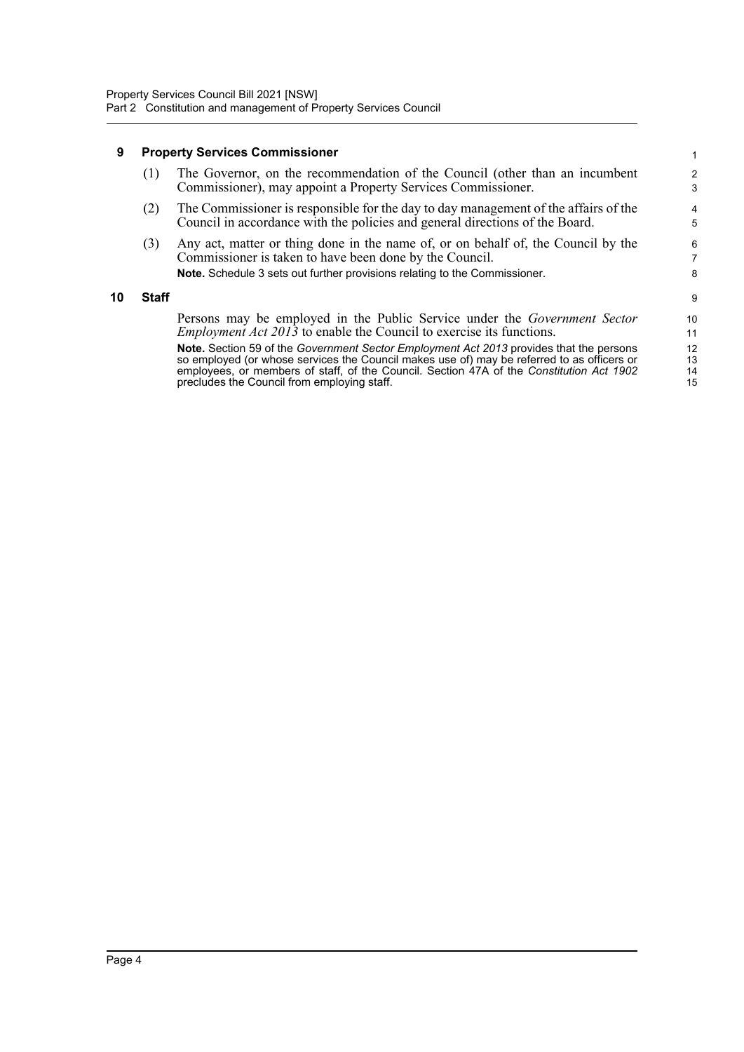#### <span id="page-5-0"></span>**9 Property Services Commissioner**

|     | (1) The Governor, on the recommendation of the Council (other than an incumbent<br>Commissioner), may appoint a Property Services Commissioner. |
|-----|-------------------------------------------------------------------------------------------------------------------------------------------------|
| (2) | The Commissioner is responsible for the day to day management of the affairs of the                                                             |

- Council in accordance with the policies and general directions of the Board.
- (3) Any act, matter or thing done in the name of, or on behalf of, the Council by the Commissioner is taken to have been done by the Council. **Note.** Schedule 3 sets out further provisions relating to the Commissioner.

#### <span id="page-5-1"></span>**10 Staff**

Persons may be employed in the Public Service under the *Government Sector Employment Act 2013* to enable the Council to exercise its functions.

**Note.** Section 59 of the *Government Sector Employment Act 2013* provides that the persons so employed (or whose services the Council makes use of) may be referred to as officers or employees, or members of staff, of the Council. Section 47A of the *Constitution Act 1902* precludes the Council from employing staff.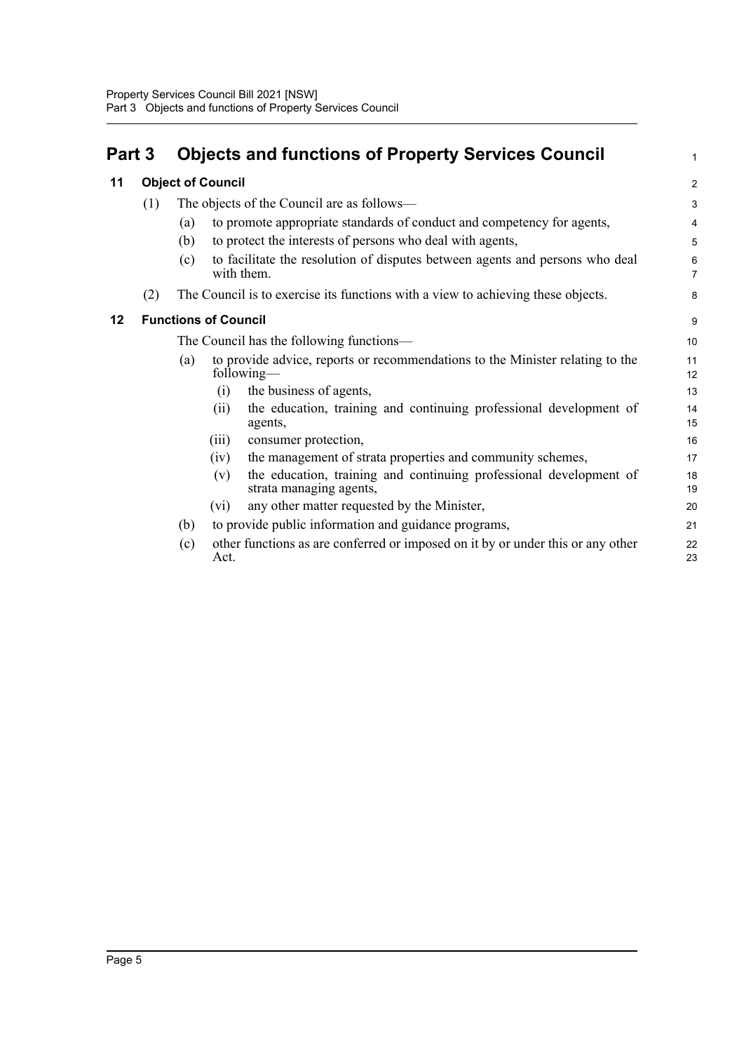<span id="page-6-2"></span><span id="page-6-1"></span><span id="page-6-0"></span>

| Part 3 |     | <b>Objects and functions of Property Services Council</b>                                            | 1              |
|--------|-----|------------------------------------------------------------------------------------------------------|----------------|
| 11     |     | <b>Object of Council</b>                                                                             | $\overline{c}$ |
|        | (1) | The objects of the Council are as follows—                                                           | 3              |
|        |     | to promote appropriate standards of conduct and competency for agents,<br>(a)                        | 4              |
|        |     | to protect the interests of persons who deal with agents,<br>(b)                                     | 5              |
|        |     | to facilitate the resolution of disputes between agents and persons who deal<br>(c)<br>with them.    | 6<br>7         |
|        | (2) | The Council is to exercise its functions with a view to achieving these objects.                     | 8              |
| 12     |     | <b>Functions of Council</b>                                                                          | 9              |
|        |     | The Council has the following functions—                                                             | 10             |
|        |     | to provide advice, reports or recommendations to the Minister relating to the<br>(a)<br>following-   | 11<br>12       |
|        |     | the business of agents,<br>$\left( 1\right)$                                                         | 13             |
|        |     | the education, training and continuing professional development of<br>(i)<br>agents,                 | 14<br>15       |
|        |     | consumer protection,<br>(iii)                                                                        | 16             |
|        |     | the management of strata properties and community schemes,<br>(iv)                                   | 17             |
|        |     | the education, training and continuing professional development of<br>(v)<br>strata managing agents, | 18<br>19       |
|        |     | any other matter requested by the Minister,<br>(vi)                                                  | 20             |
|        |     | to provide public information and guidance programs,<br>(b)                                          | 21             |
|        |     | other functions as are conferred or imposed on it by or under this or any other<br>(c)<br>Act.       | 22<br>23       |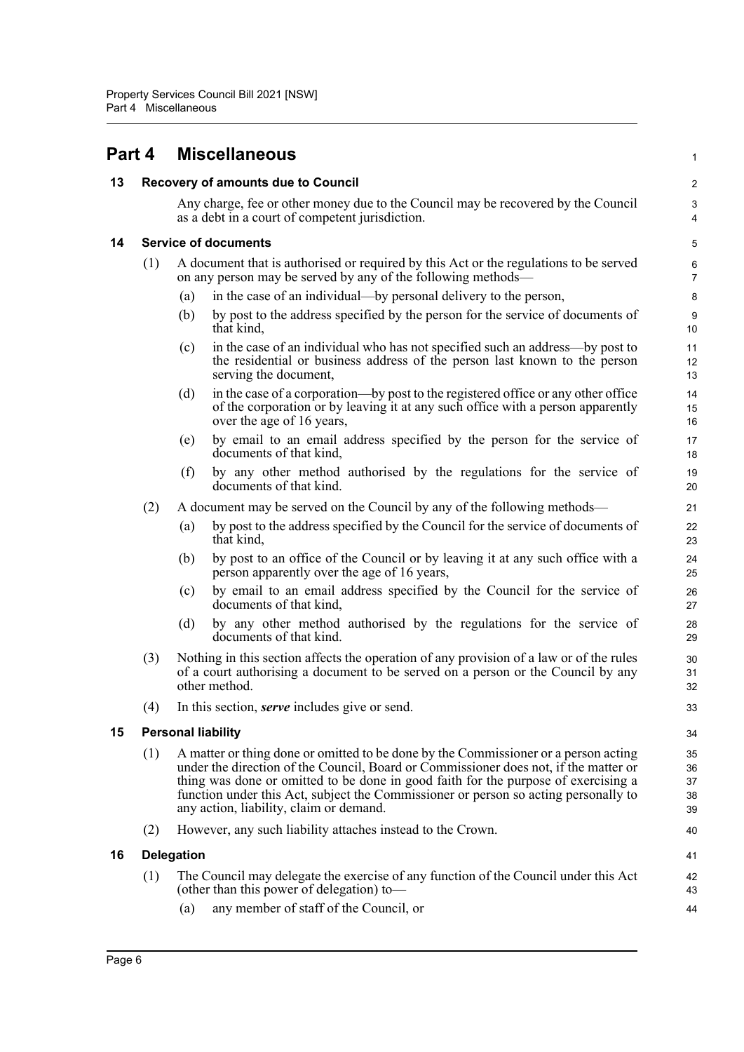<span id="page-7-4"></span><span id="page-7-3"></span><span id="page-7-2"></span><span id="page-7-1"></span><span id="page-7-0"></span>

| Part 4 |                             | <b>Miscellaneous</b>                                                                                                                                                                                                                                                                                                                                                                                | 1                          |  |
|--------|-----------------------------|-----------------------------------------------------------------------------------------------------------------------------------------------------------------------------------------------------------------------------------------------------------------------------------------------------------------------------------------------------------------------------------------------------|----------------------------|--|
| 13     |                             | Recovery of amounts due to Council                                                                                                                                                                                                                                                                                                                                                                  |                            |  |
|        |                             | Any charge, fee or other money due to the Council may be recovered by the Council<br>as a debt in a court of competent jurisdiction.                                                                                                                                                                                                                                                                | 3<br>4                     |  |
| 14     | <b>Service of documents</b> |                                                                                                                                                                                                                                                                                                                                                                                                     | 5                          |  |
|        | (1)                         | A document that is authorised or required by this Act or the regulations to be served<br>on any person may be served by any of the following methods—                                                                                                                                                                                                                                               | 6<br>7                     |  |
|        |                             | in the case of an individual—by personal delivery to the person,<br>(a)                                                                                                                                                                                                                                                                                                                             | 8                          |  |
|        |                             | by post to the address specified by the person for the service of documents of<br>(b)<br>that kind,                                                                                                                                                                                                                                                                                                 | 9<br>10                    |  |
|        |                             | in the case of an individual who has not specified such an address—by post to<br>(c)<br>the residential or business address of the person last known to the person<br>serving the document,                                                                                                                                                                                                         | 11<br>12<br>13             |  |
|        |                             | in the case of a corporation—by post to the registered office or any other office<br>(d)<br>of the corporation or by leaving it at any such office with a person apparently<br>over the age of 16 years,                                                                                                                                                                                            | 14<br>15<br>16             |  |
|        |                             | by email to an email address specified by the person for the service of<br>(e)<br>documents of that kind,                                                                                                                                                                                                                                                                                           | 17<br>18                   |  |
|        |                             | (f)<br>by any other method authorised by the regulations for the service of<br>documents of that kind.                                                                                                                                                                                                                                                                                              | 19<br>20                   |  |
|        | (2)                         | A document may be served on the Council by any of the following methods—                                                                                                                                                                                                                                                                                                                            | 21                         |  |
|        |                             | by post to the address specified by the Council for the service of documents of<br>(a)<br>that kind,                                                                                                                                                                                                                                                                                                | 22<br>23                   |  |
|        |                             | by post to an office of the Council or by leaving it at any such office with a<br>(b)<br>person apparently over the age of 16 years,                                                                                                                                                                                                                                                                | 24<br>25                   |  |
|        |                             | by email to an email address specified by the Council for the service of<br>(c)<br>documents of that kind,                                                                                                                                                                                                                                                                                          | 26<br>27                   |  |
|        |                             | (d)<br>by any other method authorised by the regulations for the service of<br>documents of that kind.                                                                                                                                                                                                                                                                                              | 28<br>29                   |  |
|        | (3)                         | Nothing in this section affects the operation of any provision of a law or of the rules<br>of a court authorising a document to be served on a person or the Council by any<br>other method.                                                                                                                                                                                                        | 30<br>31<br>32             |  |
|        | (4)                         | In this section, <i>serve</i> includes give or send.                                                                                                                                                                                                                                                                                                                                                | 33                         |  |
| 15     |                             | <b>Personal liability</b>                                                                                                                                                                                                                                                                                                                                                                           | 34                         |  |
|        | (1)                         | A matter or thing done or omitted to be done by the Commissioner or a person acting<br>under the direction of the Council, Board or Commissioner does not, if the matter or<br>thing was done or omitted to be done in good faith for the purpose of exercising a<br>function under this Act, subject the Commissioner or person so acting personally to<br>any action, liability, claim or demand. | 35<br>36<br>37<br>38<br>39 |  |
|        | (2)                         | However, any such liability attaches instead to the Crown.                                                                                                                                                                                                                                                                                                                                          | 40                         |  |
| 16     |                             | <b>Delegation</b>                                                                                                                                                                                                                                                                                                                                                                                   | 41                         |  |
|        | (1)                         | The Council may delegate the exercise of any function of the Council under this Act<br>(other than this power of delegation) to-                                                                                                                                                                                                                                                                    | 42<br>43                   |  |
|        |                             | any member of staff of the Council, or<br>(a)                                                                                                                                                                                                                                                                                                                                                       | 44                         |  |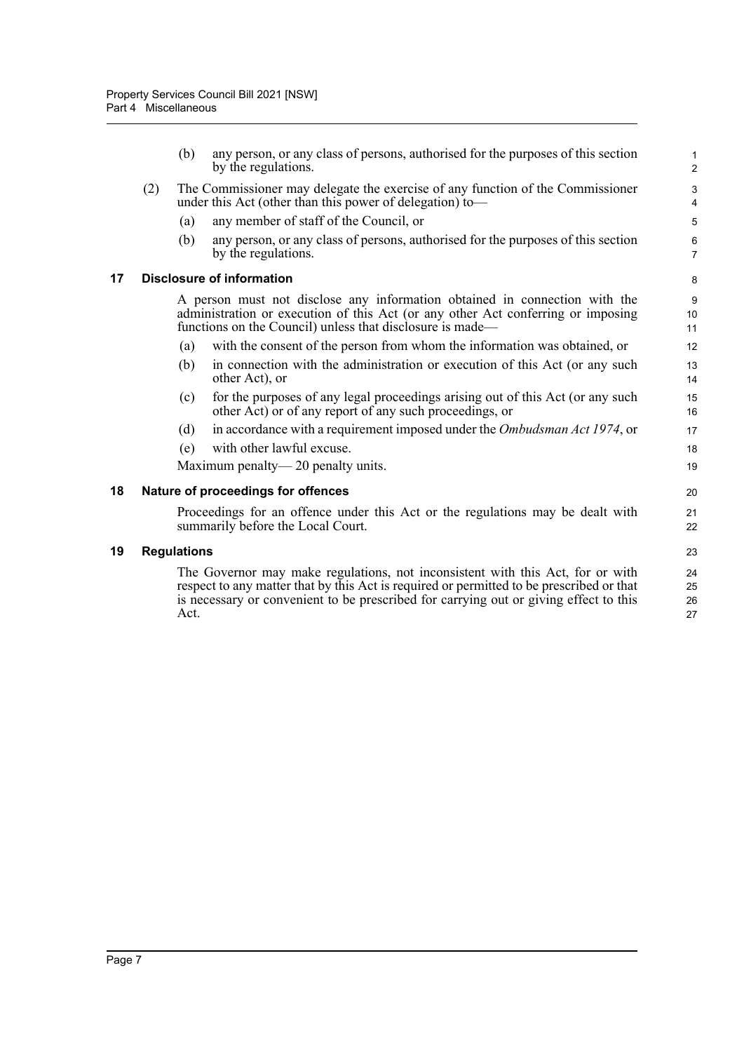(b) any person, or any class of persons, authorised for the purposes of this section by the regulations.

- (2) The Commissioner may delegate the exercise of any function of the Commissioner under this Act (other than this power of delegation) to—
	- (a) any member of staff of the Council, or
	- (b) any person, or any class of persons, authorised for the purposes of this section by the regulations.

#### <span id="page-8-0"></span>**17 Disclosure of information**

A person must not disclose any information obtained in connection with the administration or execution of this Act (or any other Act conferring or imposing functions on the Council) unless that disclosure is made—

- (a) with the consent of the person from whom the information was obtained, or
- (b) in connection with the administration or execution of this Act (or any such other Act), or
- (c) for the purposes of any legal proceedings arising out of this Act (or any such other Act) or of any report of any such proceedings, or
- (d) in accordance with a requirement imposed under the *Ombudsman Act 1974*, or
- (e) with other lawful excuse.

Maximum penalty— 20 penalty units.

#### <span id="page-8-1"></span>**18 Nature of proceedings for offences**

Proceedings for an offence under this Act or the regulations may be dealt with summarily before the Local Court.

#### <span id="page-8-2"></span>**19 Regulations**

The Governor may make regulations, not inconsistent with this Act, for or with respect to any matter that by this Act is required or permitted to be prescribed or that is necessary or convenient to be prescribed for carrying out or giving effect to this Act.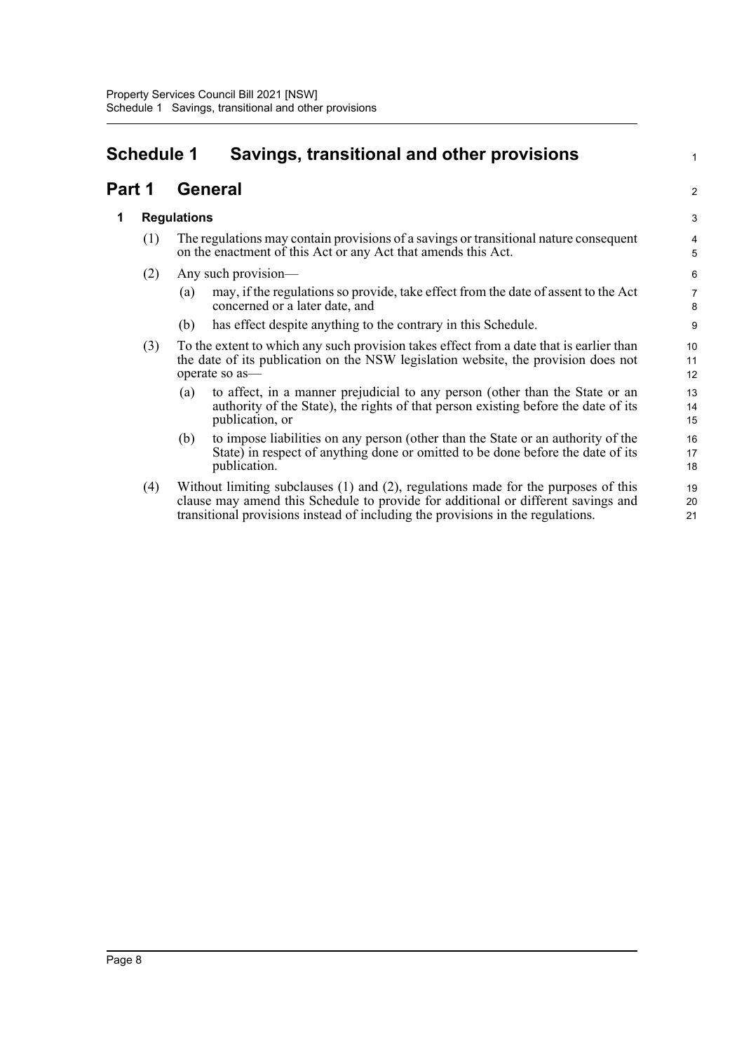# <span id="page-9-0"></span>**Schedule 1 Savings, transitional and other provisions**

## **Part 1 General**

### **1 Regulations**

- (1) The regulations may contain provisions of a savings or transitional nature consequent on the enactment of this Act or any Act that amends this Act.
- (2) Any such provision—
	- (a) may, if the regulations so provide, take effect from the date of assent to the Act concerned or a later date, and

1

2

- (b) has effect despite anything to the contrary in this Schedule.
- (3) To the extent to which any such provision takes effect from a date that is earlier than the date of its publication on the NSW legislation website, the provision does not operate so as—
	- (a) to affect, in a manner prejudicial to any person (other than the State or an authority of the State), the rights of that person existing before the date of its publication, or
	- (b) to impose liabilities on any person (other than the State or an authority of the State) in respect of anything done or omitted to be done before the date of its publication.
- (4) Without limiting subclauses (1) and (2), regulations made for the purposes of this clause may amend this Schedule to provide for additional or different savings and transitional provisions instead of including the provisions in the regulations.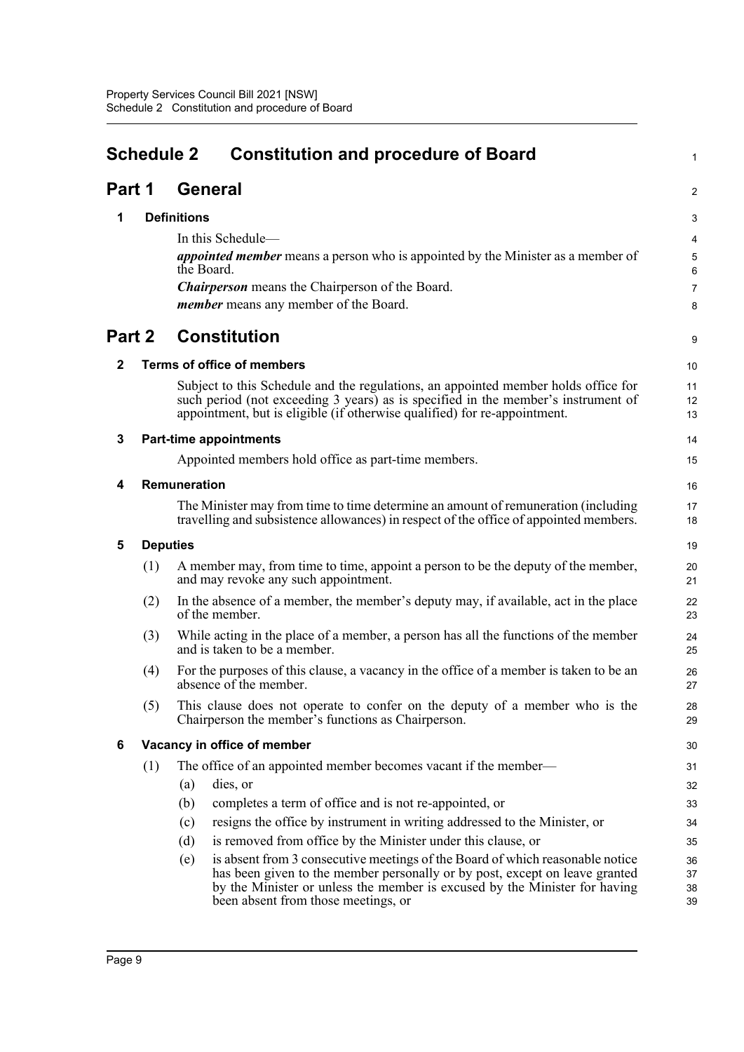<span id="page-10-0"></span>

|              | <b>Schedule 2</b><br><b>Constitution and procedure of Board</b><br>1 |                    |                                                                                                                                                                                                                                                                                   |                      |  |
|--------------|----------------------------------------------------------------------|--------------------|-----------------------------------------------------------------------------------------------------------------------------------------------------------------------------------------------------------------------------------------------------------------------------------|----------------------|--|
| Part 1       |                                                                      |                    | <b>General</b>                                                                                                                                                                                                                                                                    | $\overline{c}$       |  |
| 1            |                                                                      | <b>Definitions</b> |                                                                                                                                                                                                                                                                                   | 3                    |  |
|              |                                                                      |                    | In this Schedule-                                                                                                                                                                                                                                                                 | 4                    |  |
|              |                                                                      |                    | <i>appointed member</i> means a person who is appointed by the Minister as a member of                                                                                                                                                                                            | 5                    |  |
|              |                                                                      | the Board.         |                                                                                                                                                                                                                                                                                   | 6                    |  |
|              |                                                                      |                    | <b>Chairperson</b> means the Chairperson of the Board.                                                                                                                                                                                                                            | 7                    |  |
|              |                                                                      |                    | <i>member</i> means any member of the Board.                                                                                                                                                                                                                                      | 8                    |  |
| Part 2       |                                                                      |                    | <b>Constitution</b>                                                                                                                                                                                                                                                               | 9                    |  |
| $\mathbf{2}$ |                                                                      |                    | <b>Terms of office of members</b>                                                                                                                                                                                                                                                 | 10                   |  |
|              |                                                                      |                    | Subject to this Schedule and the regulations, an appointed member holds office for<br>such period (not exceeding 3 years) as is specified in the member's instrument of<br>appointment, but is eligible (if otherwise qualified) for re-appointment.                              | 11<br>12<br>13       |  |
| 3            |                                                                      |                    | <b>Part-time appointments</b>                                                                                                                                                                                                                                                     | 14                   |  |
|              |                                                                      |                    | Appointed members hold office as part-time members.                                                                                                                                                                                                                               | 15                   |  |
| 4            |                                                                      | Remuneration       |                                                                                                                                                                                                                                                                                   | 16                   |  |
|              |                                                                      |                    | The Minister may from time to time determine an amount of remuneration (including<br>travelling and subsistence allowances) in respect of the office of appointed members.                                                                                                        | 17<br>18             |  |
| 5            | <b>Deputies</b>                                                      |                    |                                                                                                                                                                                                                                                                                   | 19                   |  |
|              | (1)                                                                  |                    | A member may, from time to time, appoint a person to be the deputy of the member,<br>and may revoke any such appointment.                                                                                                                                                         | 20<br>21             |  |
|              | (2)                                                                  |                    | In the absence of a member, the member's deputy may, if available, act in the place<br>of the member.                                                                                                                                                                             | 22<br>23             |  |
|              | (3)                                                                  |                    | While acting in the place of a member, a person has all the functions of the member<br>and is taken to be a member.                                                                                                                                                               | 24<br>25             |  |
|              | (4)                                                                  |                    | For the purposes of this clause, a vacancy in the office of a member is taken to be an<br>absence of the member.                                                                                                                                                                  | 26<br>27             |  |
|              | (5)                                                                  |                    | This clause does not operate to confer on the deputy of a member who is the<br>Chairperson the member's functions as Chairperson.                                                                                                                                                 | 28<br>29             |  |
| 6            |                                                                      |                    | Vacancy in office of member                                                                                                                                                                                                                                                       | 30                   |  |
|              | (1)                                                                  |                    | The office of an appointed member becomes vacant if the member—                                                                                                                                                                                                                   | 31                   |  |
|              |                                                                      | (a)                | dies, or                                                                                                                                                                                                                                                                          | 32                   |  |
|              |                                                                      | (b)                | completes a term of office and is not re-appointed, or                                                                                                                                                                                                                            | 33                   |  |
|              |                                                                      | (c)                | resigns the office by instrument in writing addressed to the Minister, or                                                                                                                                                                                                         | 34                   |  |
|              |                                                                      | (d)                | is removed from office by the Minister under this clause, or                                                                                                                                                                                                                      | 35                   |  |
|              |                                                                      | (e)                | is absent from 3 consecutive meetings of the Board of which reasonable notice<br>has been given to the member personally or by post, except on leave granted<br>by the Minister or unless the member is excused by the Minister for having<br>been absent from those meetings, or | 36<br>37<br>38<br>39 |  |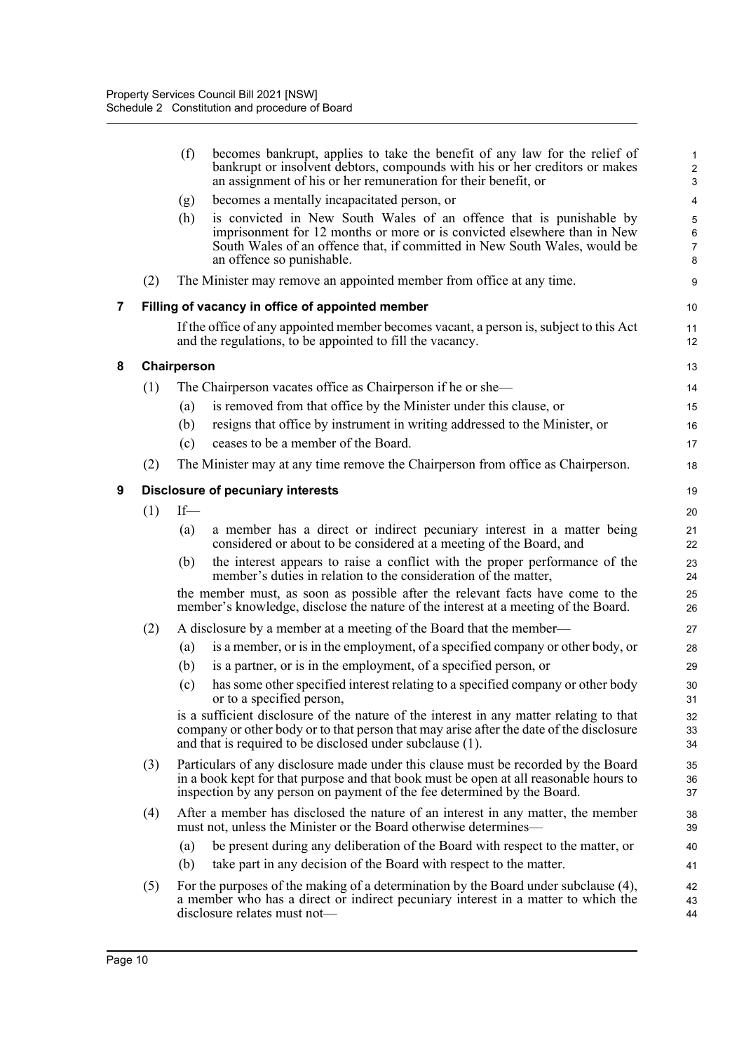|   |     | (f)         | becomes bankrupt, applies to take the benefit of any law for the relief of<br>bankrupt or insolvent debtors, compounds with his or her creditors or makes<br>an assignment of his or her remuneration for their benefit, or                               | $\mathbf{1}$<br>$\overline{c}$<br>3          |
|---|-----|-------------|-----------------------------------------------------------------------------------------------------------------------------------------------------------------------------------------------------------------------------------------------------------|----------------------------------------------|
|   |     | (g)         | becomes a mentally incapacitated person, or                                                                                                                                                                                                               | 4                                            |
|   |     | (h)         | is convicted in New South Wales of an offence that is punishable by<br>imprisonment for 12 months or more or is convicted elsewhere than in New<br>South Wales of an offence that, if committed in New South Wales, would be<br>an offence so punishable. | 5<br>$\boldsymbol{6}$<br>$\overline{7}$<br>8 |
|   | (2) |             | The Minister may remove an appointed member from office at any time.                                                                                                                                                                                      | 9                                            |
| 7 |     |             | Filling of vacancy in office of appointed member                                                                                                                                                                                                          | 10                                           |
|   |     |             | If the office of any appointed member becomes vacant, a person is, subject to this Act<br>and the regulations, to be appointed to fill the vacancy.                                                                                                       | 11<br>12                                     |
| 8 |     | Chairperson |                                                                                                                                                                                                                                                           | 13                                           |
|   | (1) |             | The Chairperson vacates office as Chairperson if he or she—                                                                                                                                                                                               | 14                                           |
|   |     | (a)         | is removed from that office by the Minister under this clause, or                                                                                                                                                                                         | 15                                           |
|   |     | (b)         | resigns that office by instrument in writing addressed to the Minister, or                                                                                                                                                                                | 16                                           |
|   |     | (c)         | ceases to be a member of the Board.                                                                                                                                                                                                                       | 17                                           |
|   | (2) |             | The Minister may at any time remove the Chairperson from office as Chairperson.                                                                                                                                                                           | 18                                           |
| 9 |     |             | <b>Disclosure of pecuniary interests</b>                                                                                                                                                                                                                  | 19                                           |
|   | (1) | $If-$       |                                                                                                                                                                                                                                                           | 20                                           |
|   |     | (a)         | a member has a direct or indirect pecuniary interest in a matter being<br>considered or about to be considered at a meeting of the Board, and                                                                                                             | 21<br>22                                     |
|   |     | (b)         | the interest appears to raise a conflict with the proper performance of the<br>member's duties in relation to the consideration of the matter,                                                                                                            | 23<br>24                                     |
|   |     |             | the member must, as soon as possible after the relevant facts have come to the<br>member's knowledge, disclose the nature of the interest at a meeting of the Board.                                                                                      | 25<br>26                                     |
|   | (2) |             | A disclosure by a member at a meeting of the Board that the member—                                                                                                                                                                                       | 27                                           |
|   |     | (a)         | is a member, or is in the employment, of a specified company or other body, or                                                                                                                                                                            | 28                                           |
|   |     | (b)         | is a partner, or is in the employment, of a specified person, or                                                                                                                                                                                          | 29                                           |
|   |     | (c)         | has some other specified interest relating to a specified company or other body<br>or to a specified person,                                                                                                                                              | 30<br>31                                     |
|   |     |             | is a sufficient disclosure of the nature of the interest in any matter relating to that<br>company or other body or to that person that may arise after the date of the disclosure<br>and that is required to be disclosed under subclause (1).           | 32<br>33<br>34                               |
|   | (3) |             | Particulars of any disclosure made under this clause must be recorded by the Board<br>in a book kept for that purpose and that book must be open at all reasonable hours to<br>inspection by any person on payment of the fee determined by the Board.    | 35<br>36<br>37                               |
|   | (4) |             | After a member has disclosed the nature of an interest in any matter, the member<br>must not, unless the Minister or the Board otherwise determines—                                                                                                      | 38<br>39                                     |
|   |     | (a)         | be present during any deliberation of the Board with respect to the matter, or                                                                                                                                                                            | 40                                           |
|   |     | (b)         | take part in any decision of the Board with respect to the matter.                                                                                                                                                                                        | 41                                           |
|   | (5) |             | For the purposes of the making of a determination by the Board under subclause (4),<br>a member who has a direct or indirect pecuniary interest in a matter to which the<br>disclosure relates must not-                                                  | 42<br>43<br>44                               |

**8 Chairperson**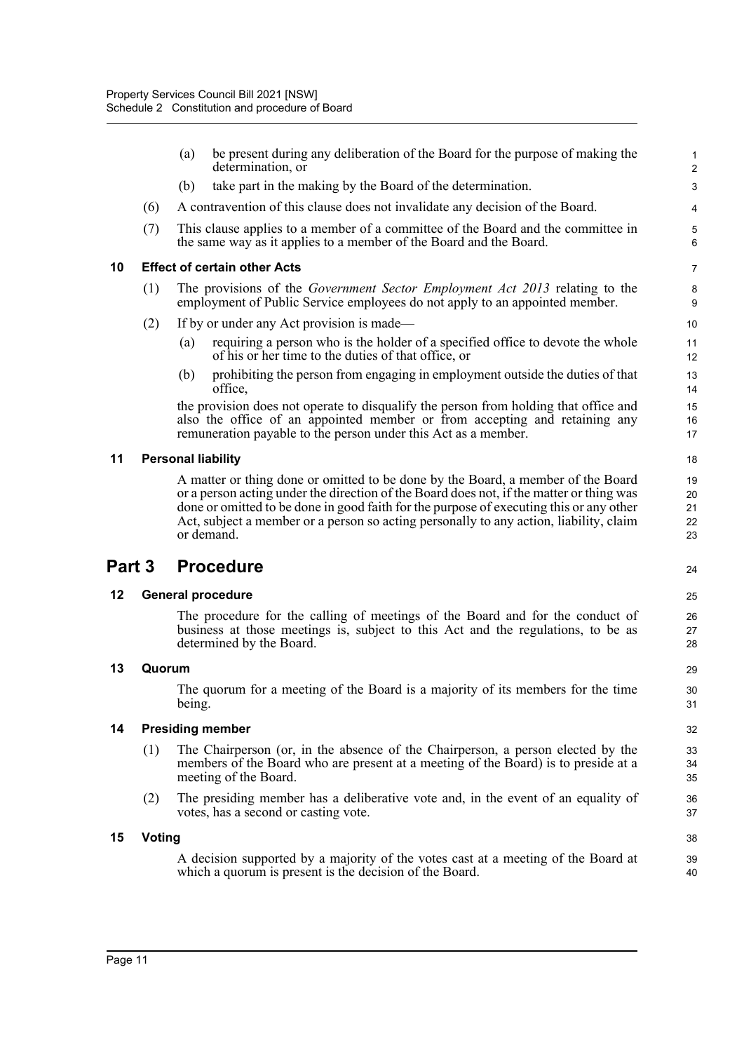|        |               | (a)    | be present during any deliberation of the Board for the purpose of making the<br>determination, or                                                                                                                                                                                                                                                                | 1<br>$\overline{c}$       |
|--------|---------------|--------|-------------------------------------------------------------------------------------------------------------------------------------------------------------------------------------------------------------------------------------------------------------------------------------------------------------------------------------------------------------------|---------------------------|
|        |               | (b)    | take part in the making by the Board of the determination.                                                                                                                                                                                                                                                                                                        | $\ensuremath{\mathsf{3}}$ |
|        | (6)           |        | A contravention of this clause does not invalidate any decision of the Board.                                                                                                                                                                                                                                                                                     | 4                         |
|        | (7)           |        | This clause applies to a member of a committee of the Board and the committee in<br>the same way as it applies to a member of the Board and the Board.                                                                                                                                                                                                            | $\mathbf 5$<br>6          |
| 10     |               |        | <b>Effect of certain other Acts</b>                                                                                                                                                                                                                                                                                                                               | $\overline{7}$            |
|        | (1)           |        | The provisions of the Government Sector Employment Act 2013 relating to the<br>employment of Public Service employees do not apply to an appointed member.                                                                                                                                                                                                        | 8<br>9                    |
|        | (2)           |        | If by or under any Act provision is made—                                                                                                                                                                                                                                                                                                                         | 10                        |
|        |               | (a)    | requiring a person who is the holder of a specified office to devote the whole<br>of his or her time to the duties of that office, or                                                                                                                                                                                                                             | 11<br>12                  |
|        |               | (b)    | prohibiting the person from engaging in employment outside the duties of that<br>office,                                                                                                                                                                                                                                                                          | 13<br>14                  |
|        |               |        | the provision does not operate to disqualify the person from holding that office and<br>also the office of an appointed member or from accepting and retaining any<br>remuneration payable to the person under this Act as a member.                                                                                                                              | 15<br>16<br>17            |
| 11     |               |        | <b>Personal liability</b>                                                                                                                                                                                                                                                                                                                                         | 18                        |
|        |               |        | A matter or thing done or omitted to be done by the Board, a member of the Board<br>or a person acting under the direction of the Board does not, if the matter or thing was<br>done or omitted to be done in good faith for the purpose of executing this or any other<br>Act, subject a member or a person so acting personally to any action, liability, claim | 19<br>20<br>21            |
|        |               |        | or demand.                                                                                                                                                                                                                                                                                                                                                        | 22<br>23                  |
| Part 3 |               |        | <b>Procedure</b>                                                                                                                                                                                                                                                                                                                                                  | 24                        |
| 12     |               |        | <b>General procedure</b>                                                                                                                                                                                                                                                                                                                                          | 25                        |
|        |               |        | The procedure for the calling of meetings of the Board and for the conduct of<br>business at those meetings is, subject to this Act and the regulations, to be as<br>determined by the Board.                                                                                                                                                                     | 26<br>27<br>28            |
| 13     | Quorum        |        |                                                                                                                                                                                                                                                                                                                                                                   | 29                        |
|        |               | being. | The quorum for a meeting of the Board is a majority of its members for the time                                                                                                                                                                                                                                                                                   | 30<br>31                  |
| 14     |               |        | <b>Presiding member</b>                                                                                                                                                                                                                                                                                                                                           | 32                        |
|        | (1)           |        | The Chairperson (or, in the absence of the Chairperson, a person elected by the<br>members of the Board who are present at a meeting of the Board) is to preside at a<br>meeting of the Board.                                                                                                                                                                    | 33<br>34<br>35            |
|        | (2)           |        | The presiding member has a deliberative vote and, in the event of an equality of<br>votes, has a second or casting vote.                                                                                                                                                                                                                                          | 36<br>37                  |
| 15     | <b>Voting</b> |        |                                                                                                                                                                                                                                                                                                                                                                   | 38                        |
|        |               |        | A decision supported by a majority of the votes cast at a meeting of the Board at<br>which a quorum is present is the decision of the Board.                                                                                                                                                                                                                      | 39<br>40                  |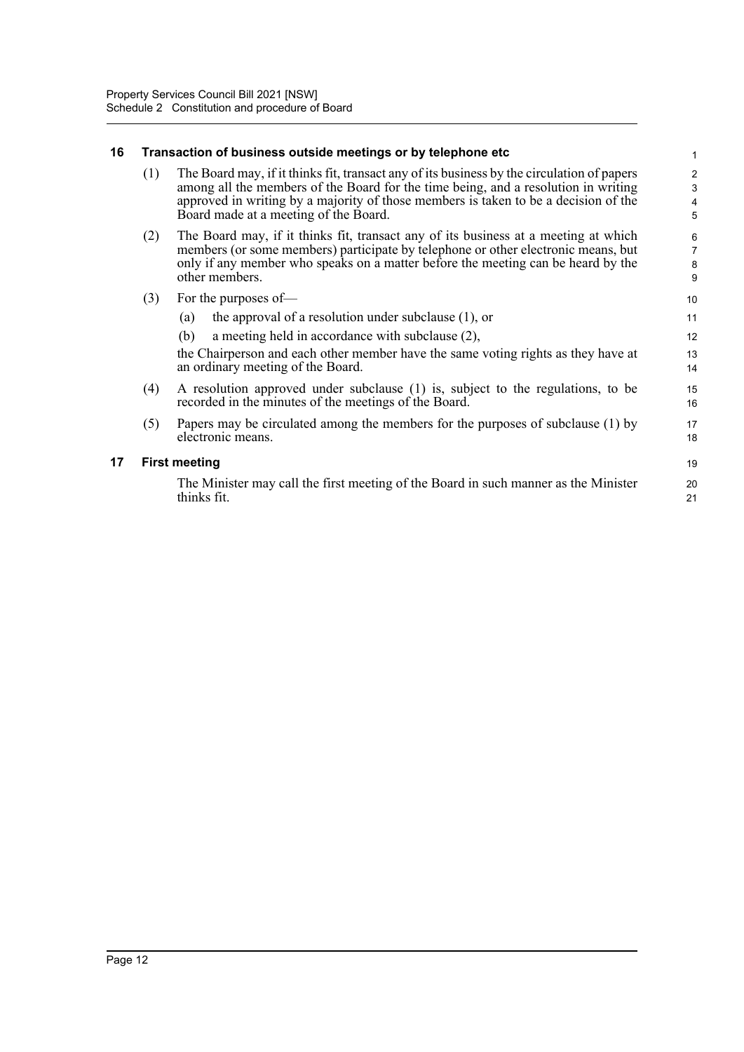#### **16 Transaction of business outside meetings or by telephone etc**

- (1) The Board may, if it thinks fit, transact any of its business by the circulation of papers among all the members of the Board for the time being, and a resolution in writing approved in writing by a majority of those members is taken to be a decision of the Board made at a meeting of the Board.
- (2) The Board may, if it thinks fit, transact any of its business at a meeting at which members (or some members) participate by telephone or other electronic means, but only if any member who speaks on a matter before the meeting can be heard by the other members.
- (3) For the purposes of—
	- (a) the approval of a resolution under subclause (1), or (b) a meeting held in accordance with subclause (2), 11 12 13

the Chairperson and each other member have the same voting rights as they have at an ordinary meeting of the Board.

- (4) A resolution approved under subclause (1) is, subject to the regulations, to be recorded in the minutes of the meetings of the Board.
- (5) Papers may be circulated among the members for the purposes of subclause (1) by electronic means.

#### **17 First meeting**

The Minister may call the first meeting of the Board in such manner as the Minister thinks fit.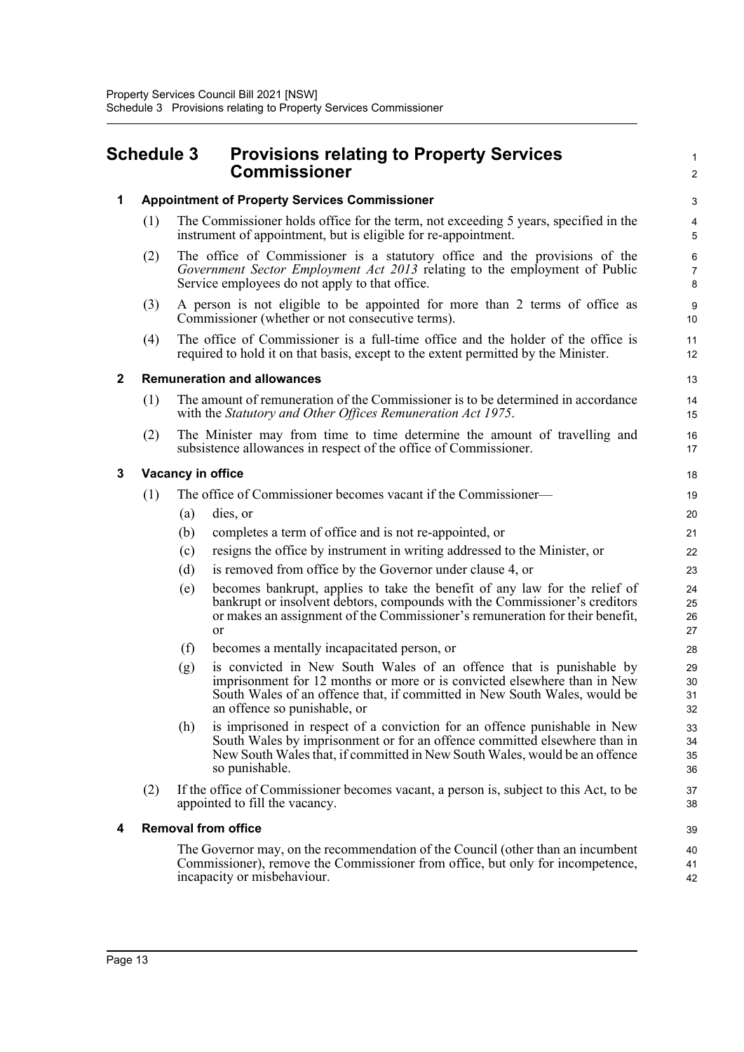## <span id="page-14-0"></span>**Schedule 3 Provisions relating to Property Services Commissioner**

|   |     |     | Commissioner                                                                                                                                                                                                                                                 | $\overline{c}$                         |
|---|-----|-----|--------------------------------------------------------------------------------------------------------------------------------------------------------------------------------------------------------------------------------------------------------------|----------------------------------------|
| 1 |     |     | <b>Appointment of Property Services Commissioner</b>                                                                                                                                                                                                         | 3                                      |
|   | (1) |     | The Commissioner holds office for the term, not exceeding 5 years, specified in the<br>instrument of appointment, but is eligible for re-appointment.                                                                                                        | $\overline{\mathcal{L}}$<br>5          |
|   | (2) |     | The office of Commissioner is a statutory office and the provisions of the<br>Government Sector Employment Act 2013 relating to the employment of Public<br>Service employees do not apply to that office.                                                   | $6\phantom{1}6$<br>$\overline{7}$<br>8 |
|   | (3) |     | A person is not eligible to be appointed for more than 2 terms of office as<br>Commissioner (whether or not consecutive terms).                                                                                                                              | 9<br>10                                |
|   | (4) |     | The office of Commissioner is a full-time office and the holder of the office is<br>required to hold it on that basis, except to the extent permitted by the Minister.                                                                                       | 11<br>12                               |
| 2 |     |     | <b>Remuneration and allowances</b>                                                                                                                                                                                                                           | 13                                     |
|   | (1) |     | The amount of remuneration of the Commissioner is to be determined in accordance<br>with the Statutory and Other Offices Remuneration Act 1975.                                                                                                              | 14<br>15                               |
|   | (2) |     | The Minister may from time to time determine the amount of travelling and<br>subsistence allowances in respect of the office of Commissioner.                                                                                                                | 16<br>17                               |
| 3 |     |     | Vacancy in office                                                                                                                                                                                                                                            | 18                                     |
|   | (1) |     | The office of Commissioner becomes vacant if the Commissioner—                                                                                                                                                                                               | 19                                     |
|   |     | (a) | dies, or                                                                                                                                                                                                                                                     | 20                                     |
|   |     | (b) | completes a term of office and is not re-appointed, or                                                                                                                                                                                                       | 21                                     |
|   |     | (c) | resigns the office by instrument in writing addressed to the Minister, or                                                                                                                                                                                    | 22                                     |
|   |     | (d) | is removed from office by the Governor under clause 4, or                                                                                                                                                                                                    | 23                                     |
|   |     | (e) | becomes bankrupt, applies to take the benefit of any law for the relief of<br>bankrupt or insolvent debtors, compounds with the Commissioner's creditors<br>or makes an assignment of the Commissioner's remuneration for their benefit,<br><sub>or</sub>    | 24<br>25<br>26<br>27                   |
|   |     | (f) | becomes a mentally incapacitated person, or                                                                                                                                                                                                                  | 28                                     |
|   |     | (g) | is convicted in New South Wales of an offence that is punishable by<br>imprisonment for 12 months or more or is convicted elsewhere than in New<br>South Wales of an offence that, if committed in New South Wales, would be<br>an offence so punishable, or | 29<br>30<br>31<br>32                   |
|   |     | (h) | is imprisoned in respect of a conviction for an offence punishable in New<br>South Wales by imprisonment or for an offence committed elsewhere than in<br>New South Wales that, if committed in New South Wales, would be an offence<br>so punishable.       | 33<br>34<br>35<br>36                   |
|   | (2) |     | If the office of Commissioner becomes vacant, a person is, subject to this Act, to be<br>appointed to fill the vacancy.                                                                                                                                      | 37<br>38                               |
| 4 |     |     | <b>Removal from office</b>                                                                                                                                                                                                                                   | 39                                     |
|   |     |     | The Governor may, on the recommendation of the Council (other than an incumbent<br>Commissioner), remove the Commissioner from office, but only for incompetence,<br>incapacity or misbehaviour.                                                             | 40<br>41<br>42                         |

1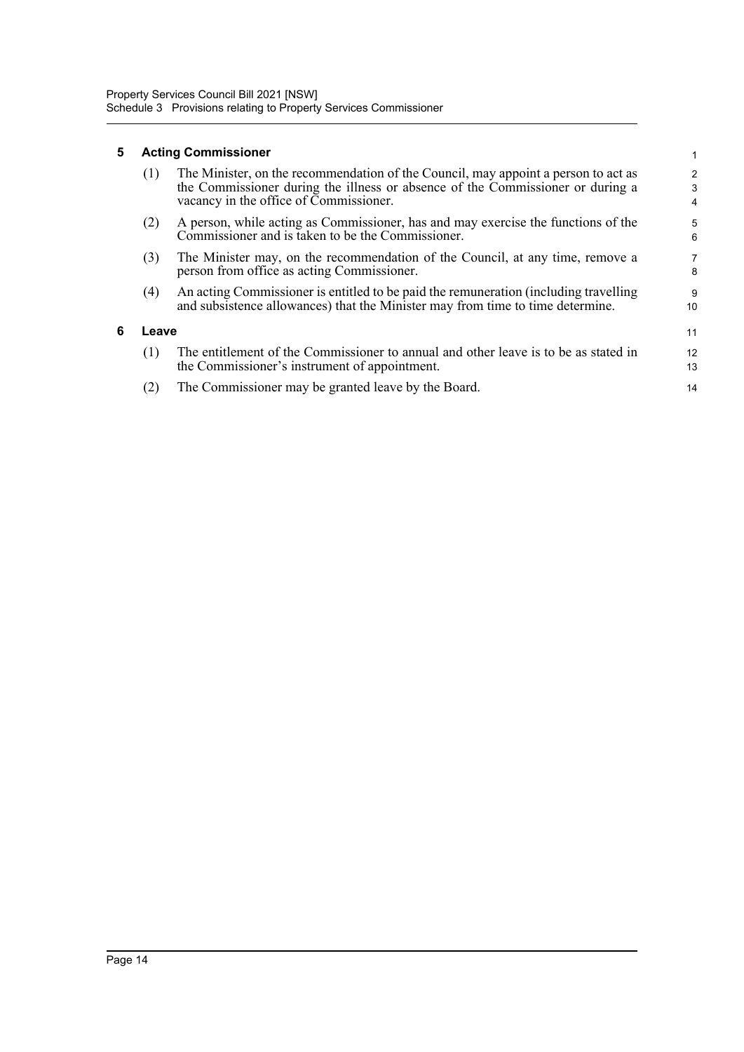## **5 Acting Commissioner**

**6 Leave**

| (1)   | The Minister, on the recommendation of the Council, may appoint a person to act as<br>the Commissioner during the illness or absence of the Commissioner or during a<br>vacancy in the office of Commissioner. | 2<br>3<br>4 |
|-------|----------------------------------------------------------------------------------------------------------------------------------------------------------------------------------------------------------------|-------------|
| (2)   | A person, while acting as Commissioner, has and may exercise the functions of the<br>Commissioner and is taken to be the Commissioner.                                                                         | 5<br>6      |
| (3)   | The Minister may, on the recommendation of the Council, at any time, remove a<br>person from office as acting Commissioner.                                                                                    | 7<br>8      |
| (4)   | An acting Commissioner is entitled to be paid the remuneration (including travelling<br>and subsistence allowances) that the Minister may from time to time determine.                                         | 9<br>10     |
| Leave |                                                                                                                                                                                                                | 11          |
| (1)   | The entitlement of the Commissioner to annual and other leave is to be as stated in<br>the Commissioner's instrument of appointment.                                                                           | 12<br>13    |
| (2)   | The Commissioner may be granted leave by the Board.                                                                                                                                                            | 14          |

1